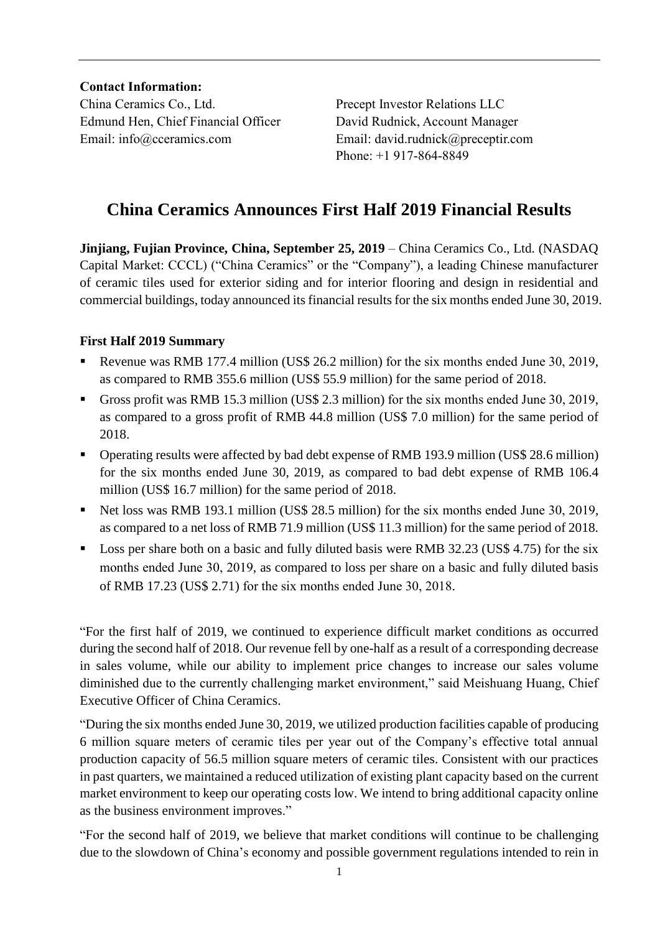**Contact Information:**

China Ceramics Co., Ltd. Precept Investor Relations LLC Edmund Hen, Chief Financial Officer David Rudnick, Account Manager Email: info@cceramics.com Email: david.rudnick@preceptir.com

Phone: +1 917-864-8849

# **China Ceramics Announces First Half 2019 Financial Results**

**Jinjiang, Fujian Province, China, September 25, 2019** – China Ceramics Co., Ltd. (NASDAQ Capital Market: CCCL) ("China Ceramics" or the "Company"), a leading Chinese manufacturer of ceramic tiles used for exterior siding and for interior flooring and design in residential and commercial buildings, today announced its financial results for the six months ended June 30, 2019.

# **First Half 2019 Summary**

- Revenue was RMB 177.4 million (US\$ 26.2 million) for the six months ended June 30, 2019, as compared to RMB 355.6 million (US\$ 55.9 million) for the same period of 2018.
- Gross profit was RMB 15.3 million (US\$ 2.3 million) for the six months ended June 30, 2019, as compared to a gross profit of RMB 44.8 million (US\$ 7.0 million) for the same period of 2018.
- Operating results were affected by bad debt expense of RMB 193.9 million (US\$ 28.6 million) for the six months ended June 30, 2019, as compared to bad debt expense of RMB 106.4 million (US\$ 16.7 million) for the same period of 2018.
- Net loss was RMB 193.1 million (US\$ 28.5 million) for the six months ended June 30, 2019, as compared to a net loss of RMB 71.9 million (US\$ 11.3 million) for the same period of 2018.
- Loss per share both on a basic and fully diluted basis were RMB 32.23 (US\$ 4.75) for the six months ended June 30, 2019, as compared to loss per share on a basic and fully diluted basis of RMB 17.23 (US\$ 2.71) for the six months ended June 30, 2018.

"For the first half of 2019, we continued to experience difficult market conditions as occurred during the second half of 2018. Our revenue fell by one-half as a result of a corresponding decrease in sales volume, while our ability to implement price changes to increase our sales volume diminished due to the currently challenging market environment," said Meishuang Huang, Chief Executive Officer of China Ceramics.

"During the six months ended June 30, 2019, we utilized production facilities capable of producing 6 million square meters of ceramic tiles per year out of the Company's effective total annual production capacity of 56.5 million square meters of ceramic tiles. Consistent with our practices in past quarters, we maintained a reduced utilization of existing plant capacity based on the current market environment to keep our operating costs low. We intend to bring additional capacity online as the business environment improves."

"For the second half of 2019, we believe that market conditions will continue to be challenging due to the slowdown of China's economy and possible government regulations intended to rein in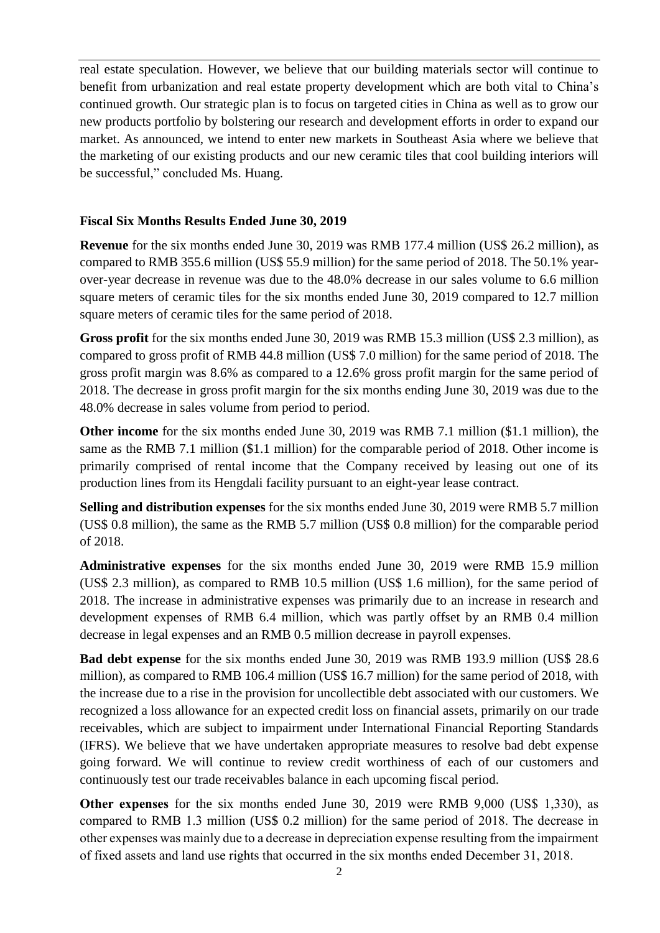real estate speculation. However, we believe that our building materials sector will continue to benefit from urbanization and real estate property development which are both vital to China's continued growth. Our strategic plan is to focus on targeted cities in China as well as to grow our new products portfolio by bolstering our research and development efforts in order to expand our market. As announced, we intend to enter new markets in Southeast Asia where we believe that the marketing of our existing products and our new ceramic tiles that cool building interiors will be successful," concluded Ms. Huang.

#### **Fiscal Six Months Results Ended June 30, 2019**

**Revenue** for the six months ended June 30, 2019 was RMB 177.4 million (US\$ 26.2 million), as compared to RMB 355.6 million (US\$ 55.9 million) for the same period of 2018. The 50.1% yearover-year decrease in revenue was due to the 48.0% decrease in our sales volume to 6.6 million square meters of ceramic tiles for the six months ended June 30, 2019 compared to 12.7 million square meters of ceramic tiles for the same period of 2018.

**Gross profit** for the six months ended June 30, 2019 was RMB 15.3 million (US\$ 2.3 million), as compared to gross profit of RMB 44.8 million (US\$ 7.0 million) for the same period of 2018. The gross profit margin was 8.6% as compared to a 12.6% gross profit margin for the same period of 2018. The decrease in gross profit margin for the six months ending June 30, 2019 was due to the 48.0% decrease in sales volume from period to period.

**Other income** for the six months ended June 30, 2019 was RMB 7.1 million (\$1.1 million), the same as the RMB 7.1 million (\$1.1 million) for the comparable period of 2018. Other income is primarily comprised of rental income that the Company received by leasing out one of its production lines from its Hengdali facility pursuant to an eight-year lease contract.

**Selling and distribution expenses** for the six months ended June 30, 2019 were RMB 5.7 million (US\$ 0.8 million), the same as the RMB 5.7 million (US\$ 0.8 million) for the comparable period of 2018.

**Administrative expenses** for the six months ended June 30, 2019 were RMB 15.9 million (US\$ 2.3 million), as compared to RMB 10.5 million (US\$ 1.6 million), for the same period of 2018. The increase in administrative expenses was primarily due to an increase in research and development expenses of RMB 6.4 million, which was partly offset by an RMB 0.4 million decrease in legal expenses and an RMB 0.5 million decrease in payroll expenses.

**Bad debt expense** for the six months ended June 30, 2019 was RMB 193.9 million (US\$ 28.6 million), as compared to RMB 106.4 million (US\$ 16.7 million) for the same period of 2018, with the increase due to a rise in the provision for uncollectible debt associated with our customers. We recognized a loss allowance for an expected credit loss on financial assets, primarily on our trade receivables, which are subject to impairment under International Financial Reporting Standards (IFRS). We believe that we have undertaken appropriate measures to resolve bad debt expense going forward. We will continue to review credit worthiness of each of our customers and continuously test our trade receivables balance in each upcoming fiscal period.

**Other expenses** for the six months ended June 30, 2019 were RMB 9,000 (US\$ 1,330), as compared to RMB 1.3 million (US\$ 0.2 million) for the same period of 2018. The decrease in other expenses was mainly due to a decrease in depreciation expense resulting from the impairment of fixed assets and land use rights that occurred in the six months ended December 31, 2018.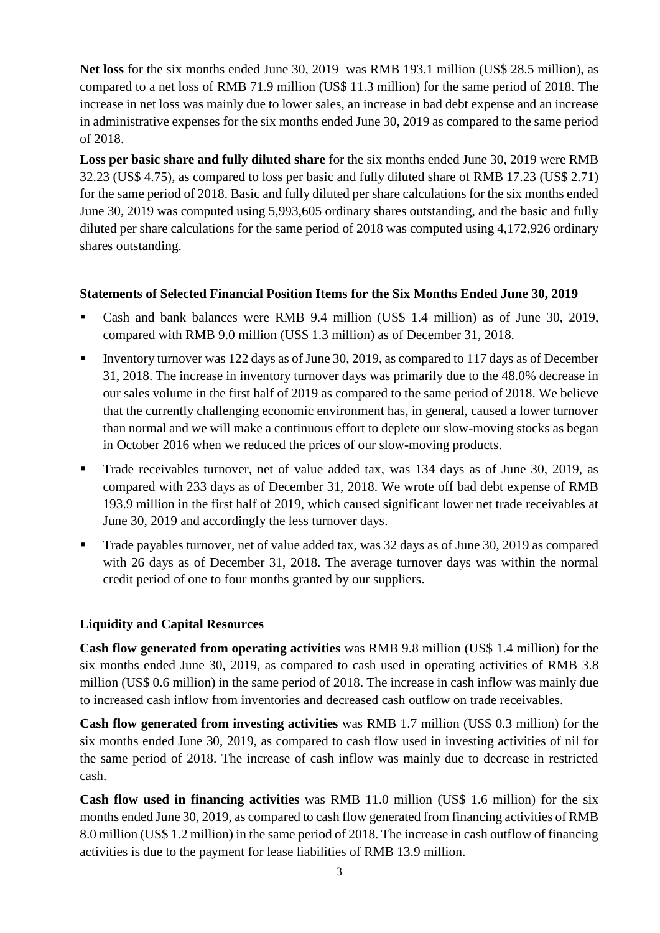**Net loss** for the six months ended June 30, 2019 was RMB 193.1 million (US\$ 28.5 million), as compared to a net loss of RMB 71.9 million (US\$ 11.3 million) for the same period of 2018. The increase in net loss was mainly due to lower sales, an increase in bad debt expense and an increase in administrative expenses for the six months ended June 30, 2019 as compared to the same period of 2018.

**Loss per basic share and fully diluted share** for the six months ended June 30, 2019 were RMB 32.23 (US\$ 4.75), as compared to loss per basic and fully diluted share of RMB 17.23 (US\$ 2.71) for the same period of 2018. Basic and fully diluted per share calculations for the six months ended June 30, 2019 was computed using 5,993,605 ordinary shares outstanding, and the basic and fully diluted per share calculations for the same period of 2018 was computed using 4,172,926 ordinary shares outstanding.

### **Statements of Selected Financial Position Items for the Six Months Ended June 30, 2019**

- Cash and bank balances were RMB 9.4 million (US\$ 1.4 million) as of June 30, 2019, compared with RMB 9.0 million (US\$ 1.3 million) as of December 31, 2018.
- Inventory turnover was 122 days as of June 30, 2019, as compared to 117 days as of December 31, 2018. The increase in inventory turnover days was primarily due to the 48.0% decrease in our sales volume in the first half of 2019 as compared to the same period of 2018. We believe that the currently challenging economic environment has, in general, caused a lower turnover than normal and we will make a continuous effort to deplete our slow-moving stocks as began in October 2016 when we reduced the prices of our slow-moving products.
- Trade receivables turnover, net of value added tax, was 134 days as of June 30, 2019, as compared with 233 days as of December 31, 2018. We wrote off bad debt expense of RMB 193.9 million in the first half of 2019, which caused significant lower net trade receivables at June 30, 2019 and accordingly the less turnover days.
- Trade payables turnover, net of value added tax, was 32 days as of June 30, 2019 as compared with 26 days as of December 31, 2018. The average turnover days was within the normal credit period of one to four months granted by our suppliers.

# **Liquidity and Capital Resources**

**Cash flow generated from operating activities** was RMB 9.8 million (US\$ 1.4 million) for the six months ended June 30, 2019, as compared to cash used in operating activities of RMB 3.8 million (US\$ 0.6 million) in the same period of 2018. The increase in cash inflow was mainly due to increased cash inflow from inventories and decreased cash outflow on trade receivables.

**Cash flow generated from investing activities** was RMB 1.7 million (US\$ 0.3 million) for the six months ended June 30, 2019, as compared to cash flow used in investing activities of nil for the same period of 2018. The increase of cash inflow was mainly due to decrease in restricted cash.

**Cash flow used in financing activities** was RMB 11.0 million (US\$ 1.6 million) for the six months ended June 30, 2019, as compared to cash flow generated from financing activities of RMB 8.0 million (US\$ 1.2 million) in the same period of 2018. The increase in cash outflow of financing activities is due to the payment for lease liabilities of RMB 13.9 million.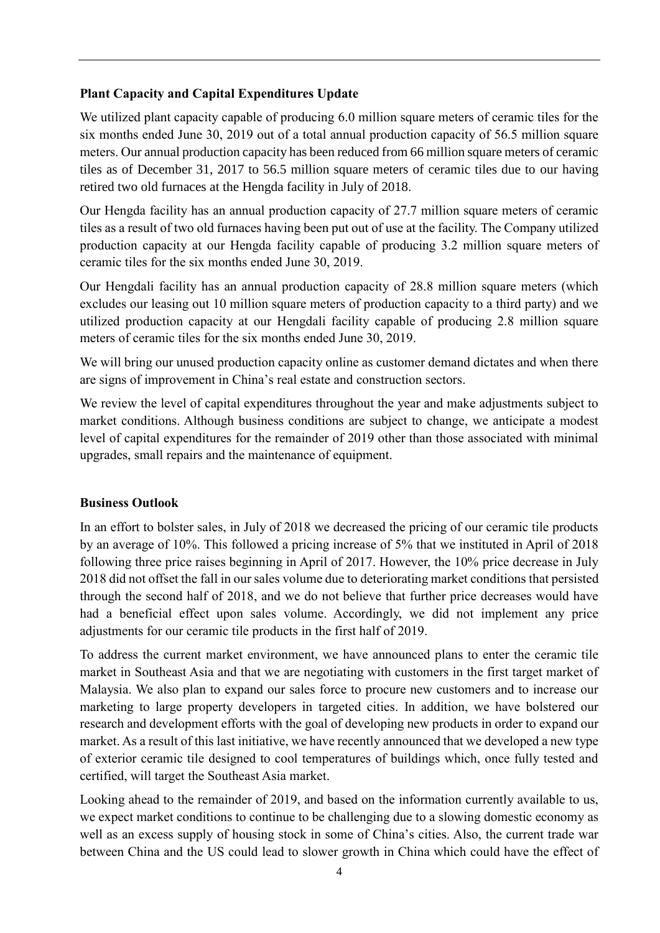### **Plant Capacity and Capital Expenditures Update**

We utilized plant capacity capable of producing 6.0 million square meters of ceramic tiles for the six months ended June 30, 2019 out of a total annual production capacity of 56.5 million square meters. Our annual production capacity has been reduced from 66 million square meters of ceramic tiles as of December 31, 2017 to 56.5 million square meters of ceramic tiles due to our having retired two old furnaces at the Hengda facility in July of 2018.

Our Hengda facility has an annual production capacity of 27.7 million square meters of ceramic tiles as a result of two old furnaces having been put out of use at the facility. The Company utilized production capacity at our Hengda facility capable of producing 3.2 million square meters of ceramic tiles for the six months ended June 30, 2019.

Our Hengdali facility has an annual production capacity of 28.8 million square meters (which excludes our leasing out 10 million square meters of production capacity to a third party) and we utilized production capacity at our Hengdali facility capable of producing 2.8 million square meters of ceramic tiles for the six months ended June 30, 2019.

We will bring our unused production capacity online as customer demand dictates and when there are signs of improvement in China's real estate and construction sectors.

We review the level of capital expenditures throughout the year and make adjustments subject to market conditions. Although business conditions are subject to change, we anticipate a modest level of capital expenditures for the remainder of 2019 other than those associated with minimal upgrades, small repairs and the maintenance of equipment.

#### **Business Outlook**

In an effort to bolster sales, in July of 2018 we decreased the pricing of our ceramic tile products by an average of 10%. This followed a pricing increase of 5% that we instituted in April of 2018 following three price raises beginning in April of 2017. However, the 10% price decrease in July 2018 did not offset the fall in our sales volume due to deteriorating market conditions that persisted through the second half of 2018, and we do not believe that further price decreases would have had a beneficial effect upon sales volume. Accordingly, we did not implement any price adjustments for our ceramic tile products in the first half of 2019.

To address the current market environment, we have announced plans to enter the ceramic tile market in Southeast Asia and that we are negotiating with customers in the first target market of Malaysia. We also plan to expand our sales force to procure new customers and to increase our marketing to large property developers in targeted cities. In addition, we have bolstered our research and development efforts with the goal of developing new products in order to expand our market. As a result of this last initiative, we have recently announced that we developed a new type of exterior ceramic tile designed to cool temperatures of buildings which, once fully tested and certified, will target the Southeast Asia market.

Looking ahead to the remainder of 2019, and based on the information currently available to us, we expect market conditions to continue to be challenging due to a slowing domestic economy as well as an excess supply of housing stock in some of China's cities. Also, the current trade war between China and the US could lead to slower growth in China which could have the effect of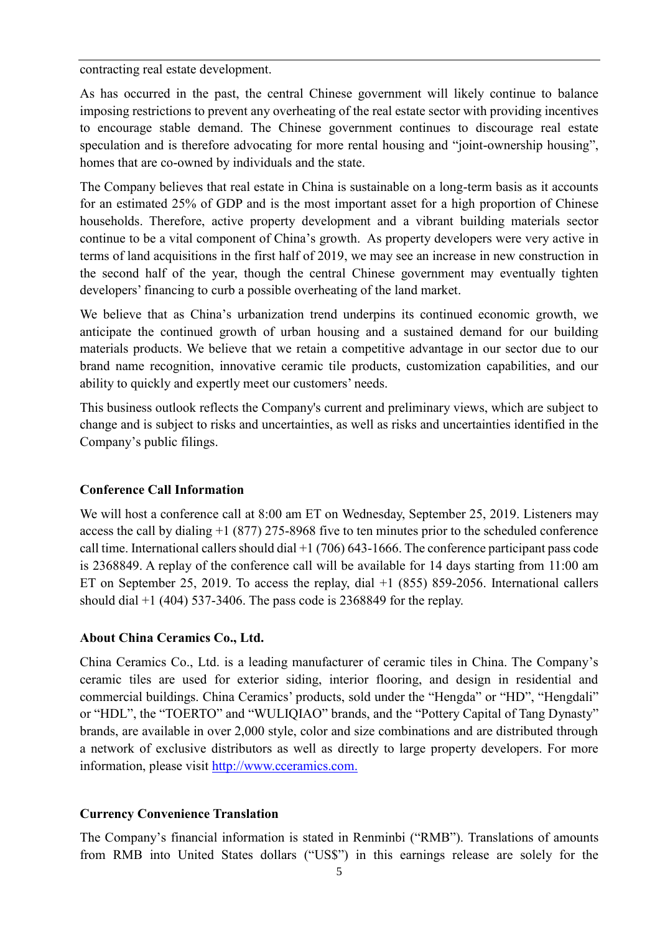contracting real estate development.

As has occurred in the past, the central Chinese government will likely continue to balance imposing restrictions to prevent any overheating of the real estate sector with providing incentives to encourage stable demand. The Chinese government continues to discourage real estate speculation and is therefore advocating for more rental housing and "joint-ownership housing", homes that are co-owned by individuals and the state.

The Company believes that real estate in China is sustainable on a long-term basis as it accounts for an estimated 25% of GDP and is the most important asset for a high proportion of Chinese households. Therefore, active property development and a vibrant building materials sector continue to be a vital component of China's growth. As property developers were very active in terms of land acquisitions in the first half of 2019, we may see an increase in new construction in the second half of the year, though the central Chinese government may eventually tighten developers' financing to curb a possible overheating of the land market.

We believe that as China's urbanization trend underpins its continued economic growth, we anticipate the continued growth of urban housing and a sustained demand for our building materials products. We believe that we retain a competitive advantage in our sector due to our brand name recognition, innovative ceramic tile products, customization capabilities, and our ability to quickly and expertly meet our customers' needs.

This business outlook reflects the Company's current and preliminary views, which are subject to change and is subject to risks and uncertainties, as well as risks and uncertainties identified in the Company's public filings.

#### **Conference Call Information**

We will host a conference call at 8:00 am ET on Wednesday, September 25, 2019. Listeners may access the call by dialing +1 (877) 275-8968 five to ten minutes prior to the scheduled conference call time. International callers should dial +1 (706) 643-1666. The conference participant pass code is 2368849. A replay of the conference call will be available for 14 days starting from 11:00 am ET on September 25, 2019. To access the replay, dial +1 (855) 859-2056. International callers should dial  $+1$  (404) 537-3406. The pass code is 2368849 for the replay.

#### **About China Ceramics Co., Ltd.**

China Ceramics Co., Ltd. is a leading manufacturer of ceramic tiles in China. The Company's ceramic tiles are used for exterior siding, interior flooring, and design in residential and commercial buildings. China Ceramics' products, sold under the "Hengda" or "HD", "Hengdali" or "HDL", the "TOERTO" and "WULIQIAO" brands, and the "Pottery Capital of Tang Dynasty" brands, are available in over 2,000 style, color and size combinations and are distributed through a network of exclusive distributors as well as directly to large property developers. For more information, please visit [http://www.cceramics.com.](http://www.cceramics.com/)

#### **Currency Convenience Translation**

The Company's financial information is stated in Renminbi ("RMB"). Translations of amounts from RMB into United States dollars ("US\$") in this earnings release are solely for the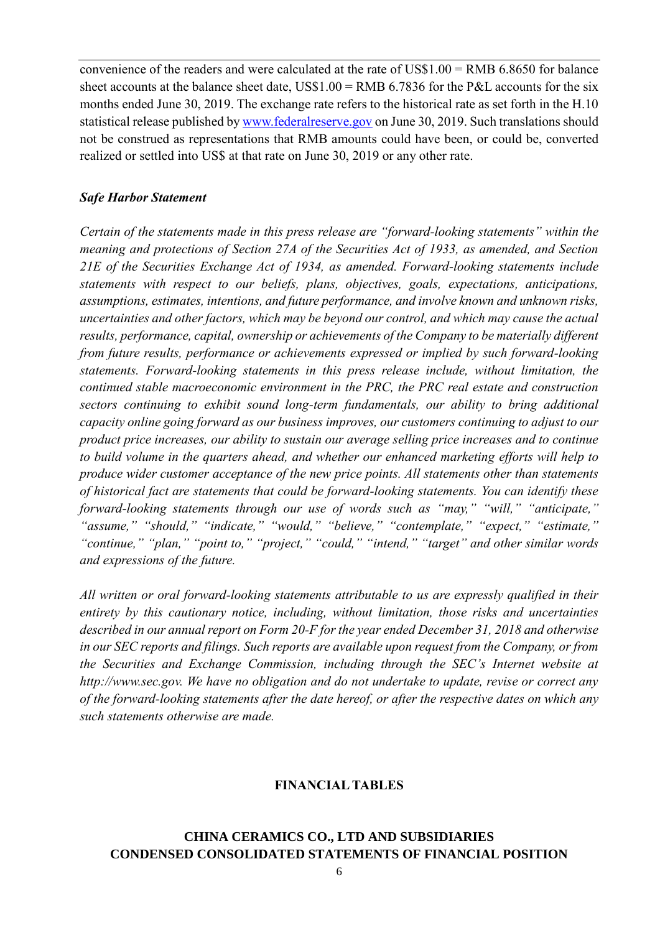convenience of the readers and were calculated at the rate of US\$1.00 = RMB 6.8650 for balance sheet accounts at the balance sheet date,  $USS1.00 = RMB$  6.7836 for the P&L accounts for the six months ended June 30, 2019. The exchange rate refers to the historical rate as set forth in the H.10 statistical release published by [www.federalreserve.gov](http://www.federalreserve.gov/) on June 30, 2019. Such translations should not be construed as representations that RMB amounts could have been, or could be, converted realized or settled into US\$ at that rate on June 30, 2019 or any other rate.

#### *Safe Harbor Statement*

*Certain of the statements made in this press release are "forward-looking statements" within the meaning and protections of Section 27A of the Securities Act of 1933, as amended, and Section 21E of the Securities Exchange Act of 1934, as amended. Forward-looking statements include statements with respect to our beliefs, plans, objectives, goals, expectations, anticipations, assumptions, estimates, intentions, and future performance, and involve known and unknown risks, uncertainties and other factors, which may be beyond our control, and which may cause the actual results, performance, capital, ownership or achievements of the Company to be materially different from future results, performance or achievements expressed or implied by such forward-looking statements. Forward-looking statements in this press release include, without limitation, the continued stable macroeconomic environment in the PRC, the PRC real estate and construction sectors continuing to exhibit sound long-term fundamentals, our ability to bring additional capacity online going forward as our business improves, our customers continuing to adjust to our product price increases, our ability to sustain our average selling price increases and to continue to build volume in the quarters ahead, and whether our enhanced marketing efforts will help to produce wider customer acceptance of the new price points. All statements other than statements of historical fact are statements that could be forward-looking statements. You can identify these forward-looking statements through our use of words such as "may," "will," "anticipate," "assume," "should," "indicate," "would," "believe," "contemplate," "expect," "estimate," "continue," "plan," "point to," "project," "could," "intend," "target" and other similar words and expressions of the future.*

*All written or oral forward-looking statements attributable to us are expressly qualified in their entirety by this cautionary notice, including, without limitation, those risks and uncertainties described in our annual report on Form 20-F for the year ended December 31, 2018 and otherwise in our SEC reports and filings. Such reports are available upon request from the Company, or from the Securities and Exchange Commission, including through the SEC's Internet website at http://www.sec.gov. We have no obligation and do not undertake to update, revise or correct any of the forward-looking statements after the date hereof, or after the respective dates on which any such statements otherwise are made.*

#### **FINANCIAL TABLES**

# **CHINA CERAMICS CO., LTD AND SUBSIDIARIES CONDENSED CONSOLIDATED STATEMENTS OF FINANCIAL POSITION**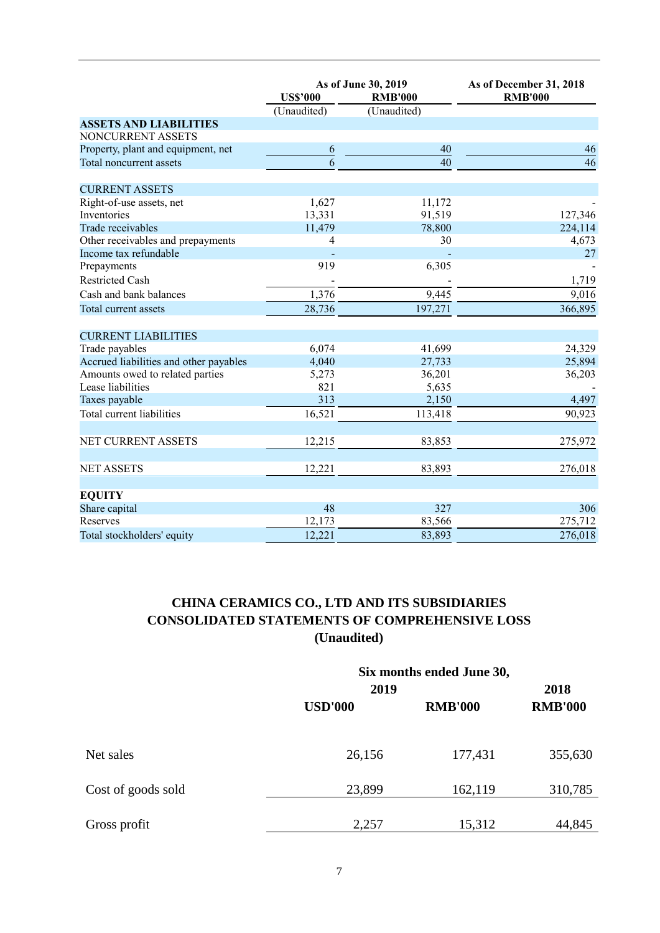|                                        | As of June 30, 2019<br><b>US\$'000</b><br><b>RMB'000</b> |                 | As of December 31, 2018<br><b>RMB'000</b> |  |
|----------------------------------------|----------------------------------------------------------|-----------------|-------------------------------------------|--|
|                                        | (Unaudited)                                              | (Unaudited)     |                                           |  |
| <b>ASSETS AND LIABILITIES</b>          |                                                          |                 |                                           |  |
| NONCURRENT ASSETS                      |                                                          |                 |                                           |  |
| Property, plant and equipment, net     | 6                                                        | 40              | 46                                        |  |
| Total noncurrent assets                | $\overline{6}$                                           | $\overline{40}$ | $\overline{46}$                           |  |
| <b>CURRENT ASSETS</b>                  |                                                          |                 |                                           |  |
| Right-of-use assets, net               | 1,627                                                    | 11,172          |                                           |  |
| Inventories                            | 13,331                                                   | 91,519          | 127,346                                   |  |
| Trade receivables                      | 11,479                                                   | 78,800          | 224,114                                   |  |
| Other receivables and prepayments      | 4                                                        | 30              | 4,673                                     |  |
| Income tax refundable                  |                                                          |                 | 27                                        |  |
| Prepayments                            | 919                                                      | 6,305           |                                           |  |
| <b>Restricted Cash</b>                 |                                                          |                 | 1,719                                     |  |
| Cash and bank balances                 | 1,376                                                    | 9,445           | 9,016                                     |  |
| Total current assets                   | 28,736                                                   | 197,271         | 366,895                                   |  |
| <b>CURRENT LIABILITIES</b>             |                                                          |                 |                                           |  |
| Trade payables                         | 6,074                                                    | 41,699          | 24,329                                    |  |
| Accrued liabilities and other payables | 4,040                                                    | 27,733          | 25,894                                    |  |
| Amounts owed to related parties        | 5,273                                                    | 36,201          | 36,203                                    |  |
| Lease liabilities                      | 821                                                      | 5,635           |                                           |  |
| Taxes payable                          | 313                                                      | 2,150           | 4,497                                     |  |
| Total current liabilities              | 16,521                                                   | 113,418         | 90,923                                    |  |
| NET CURRENT ASSETS                     | 12,215                                                   | 83,853          | 275,972                                   |  |
|                                        |                                                          |                 |                                           |  |
| <b>NET ASSETS</b>                      | 12,221                                                   | 83,893          | 276,018                                   |  |
| <b>EQUITY</b>                          |                                                          |                 |                                           |  |
| Share capital                          | 48                                                       | 327             | 306                                       |  |
| Reserves                               | 12,173                                                   | 83,566          | 275,712                                   |  |
| Total stockholders' equity             | 12,221                                                   | 83,893          | 276,018                                   |  |

# **CHINA CERAMICS CO., LTD AND ITS SUBSIDIARIES CONSOLIDATED STATEMENTS OF COMPREHENSIVE LOSS (Unaudited)**

|                    | 2019           | Six months ended June 30, |                        |  |
|--------------------|----------------|---------------------------|------------------------|--|
|                    | <b>USD'000</b> | <b>RMB'000</b>            | 2018<br><b>RMB'000</b> |  |
| Net sales          | 26,156         | 177,431                   | 355,630                |  |
| Cost of goods sold | 23,899         | 162,119                   | 310,785                |  |
| Gross profit       | 2,257          | 15,312                    | 44,845                 |  |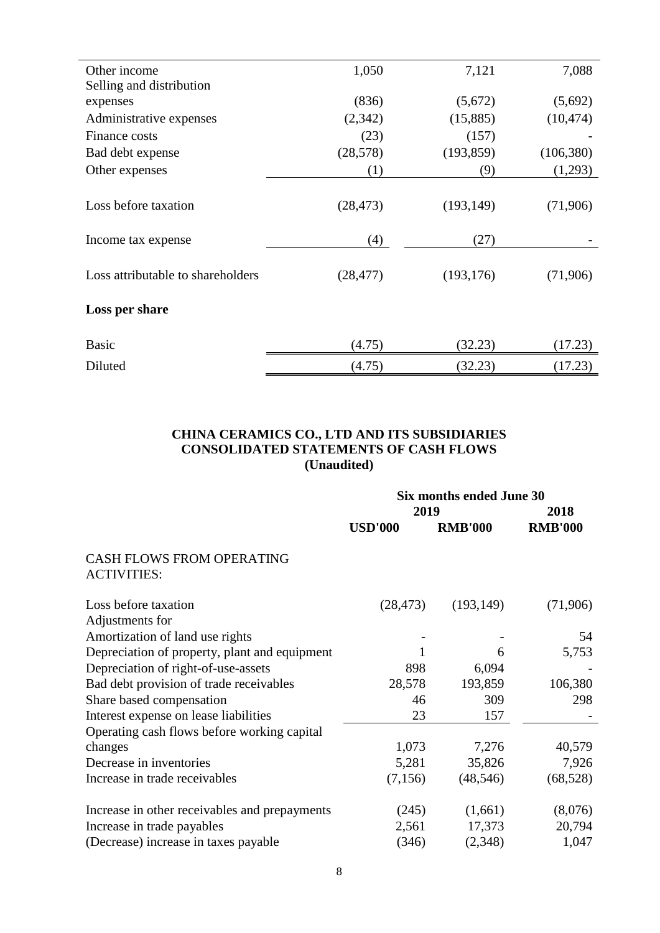| Other income                      | 1,050     | 7,121      | 7,088      |
|-----------------------------------|-----------|------------|------------|
| Selling and distribution          |           |            |            |
| expenses                          | (836)     | (5,672)    | (5,692)    |
| Administrative expenses           | (2, 342)  | (15,885)   | (10, 474)  |
| Finance costs                     | (23)      | (157)      |            |
| Bad debt expense                  | (28, 578) | (193, 859) | (106, 380) |
| Other expenses                    | (1)       | (9)        | (1,293)    |
|                                   |           |            |            |
| Loss before taxation              | (28, 473) | (193, 149) | (71,906)   |
|                                   |           |            |            |
| Income tax expense                | (4)       | (27)       |            |
|                                   |           |            |            |
| Loss attributable to shareholders | (28, 477) | (193, 176) | (71,906)   |
|                                   |           |            |            |
| Loss per share                    |           |            |            |
|                                   |           |            |            |
| <b>Basic</b>                      | (4.75)    | (32.23)    | (17.23)    |
|                                   |           |            |            |
| Diluted                           | (4.75)    | (32.23)    | (17.23)    |

#### **CHINA CERAMICS CO., LTD AND ITS SUBSIDIARIES CONSOLIDATED STATEMENTS OF CASH FLOWS (Unaudited)**

|                                                        | Six months ended June 30 |                |                |  |
|--------------------------------------------------------|--------------------------|----------------|----------------|--|
|                                                        | 2019                     |                | 2018           |  |
|                                                        | <b>USD'000</b>           | <b>RMB'000</b> | <b>RMB'000</b> |  |
| <b>CASH FLOWS FROM OPERATING</b><br><b>ACTIVITIES:</b> |                          |                |                |  |
| Loss before taxation<br>Adjustments for                | (28, 473)                | (193, 149)     | (71,906)       |  |
| Amortization of land use rights                        |                          |                | 54             |  |
| Depreciation of property, plant and equipment          |                          | 6              | 5,753          |  |
| Depreciation of right-of-use-assets                    | 898                      | 6,094          |                |  |
| Bad debt provision of trade receivables                | 28,578                   | 193,859        | 106,380        |  |
| Share based compensation                               | 46                       | 309            | 298            |  |
| Interest expense on lease liabilities                  | 23                       | 157            |                |  |
| Operating cash flows before working capital            |                          |                |                |  |
| changes                                                | 1,073                    | 7,276          | 40,579         |  |
| Decrease in inventories                                | 5,281                    | 35,826         | 7,926          |  |
| Increase in trade receivables                          | (7,156)                  | (48, 546)      | (68, 528)      |  |
| Increase in other receivables and prepayments          | (245)                    | (1,661)        | (8,076)        |  |
| Increase in trade payables                             | 2,561                    | 17,373         | 20,794         |  |
| (Decrease) increase in taxes payable                   | (346)                    | (2,348)        | 1,047          |  |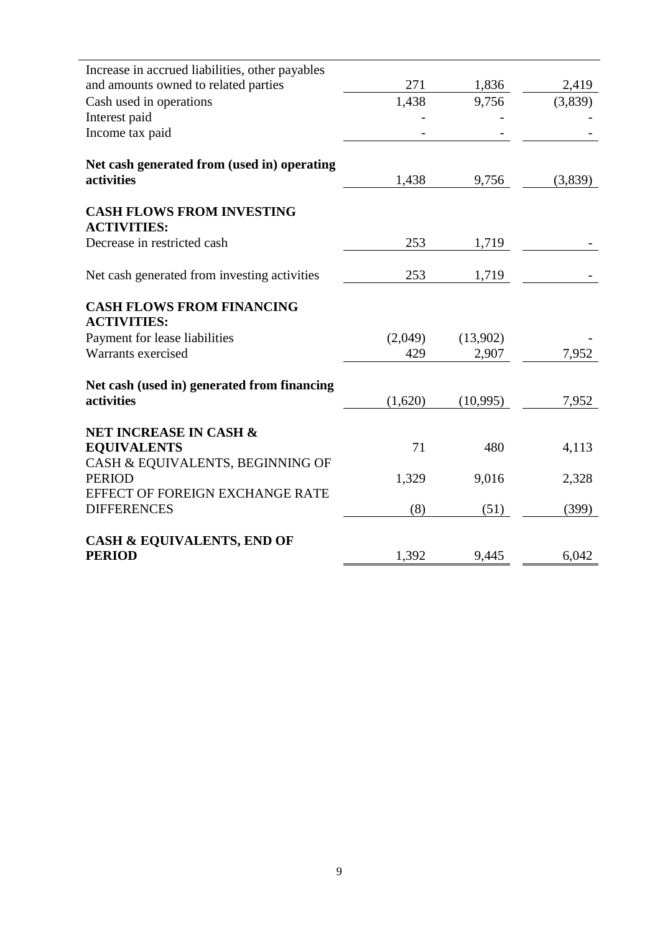| Increase in accrued liabilities, other payables        |         |          |         |
|--------------------------------------------------------|---------|----------|---------|
| and amounts owned to related parties                   | 271     | 1,836    | 2,419   |
| Cash used in operations                                | 1,438   | 9,756    | (3,839) |
| Interest paid                                          |         |          |         |
| Income tax paid                                        |         |          |         |
| Net cash generated from (used in) operating            |         |          |         |
| activities                                             | 1,438   | 9,756    | (3,839) |
| <b>CASH FLOWS FROM INVESTING</b><br><b>ACTIVITIES:</b> |         |          |         |
| Decrease in restricted cash                            | 253     | 1,719    |         |
| Net cash generated from investing activities           | 253     | 1,719    |         |
| <b>CASH FLOWS FROM FINANCING</b><br><b>ACTIVITIES:</b> |         |          |         |
| Payment for lease liabilities                          | (2,049) | (13,902) |         |
| Warrants exercised                                     | 429     | 2,907    | 7,952   |
| Net cash (used in) generated from financing            |         |          |         |
| activities                                             | (1,620) | (10,995) | 7,952   |
| <b>NET INCREASE IN CASH &amp;</b>                      |         |          |         |
| <b>EQUIVALENTS</b>                                     | 71      | 480      | 4,113   |
| CASH & EQUIVALENTS, BEGINNING OF<br><b>PERIOD</b>      | 1,329   | 9,016    | 2,328   |
| EFFECT OF FOREIGN EXCHANGE RATE                        |         |          |         |
| <b>DIFFERENCES</b>                                     | (8)     | (51)     | (399)   |
| <b>CASH &amp; EQUIVALENTS, END OF</b>                  |         |          |         |
| <b>PERIOD</b>                                          | 1,392   | 9,445    | 6,042   |